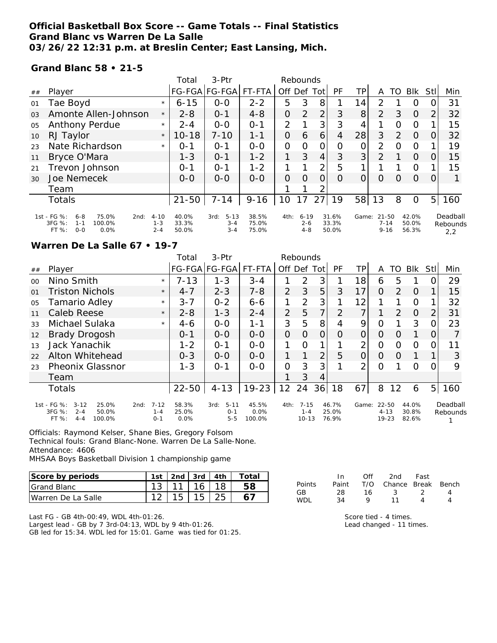### **Official Basketball Box Score -- Game Totals -- Final Statistics Grand Blanc vs Warren De La Salle 03/26/22 12:31 p.m. at Breslin Center; East Lansing, Mich.**

#### **Grand Blanc 58 • 21-5**

|                |                                                                                                |                                | Total                   | 3-Ptr                                  |                         |          | Rebounds                       |      |                         |                |                                   |          |                         |                |                             |
|----------------|------------------------------------------------------------------------------------------------|--------------------------------|-------------------------|----------------------------------------|-------------------------|----------|--------------------------------|------|-------------------------|----------------|-----------------------------------|----------|-------------------------|----------------|-----------------------------|
| ##             | Player                                                                                         |                                |                         | FG-FGA FG-FGA                          | FT-FTA                  | Off Def  |                                | Totl | PF                      | TPI            | A                                 | TO       | Blk                     | Stll           | Min                         |
| 01             | Tae Boyd                                                                                       | $\star$                        | $6 - 15$                | $O-O$                                  | $2 - 2$                 | 5        | 3                              | 8    |                         | 14             | $\mathcal{P}$                     |          | O                       | $\Omega$       | 31                          |
| 0 <sub>3</sub> | Amonte Allen-Johnson                                                                           | $\star$                        | $2 - 8$                 | $0 - 1$                                | $4 - 8$                 | 0        | 2                              | 2    | 3                       | 8 <sup>1</sup> | 2                                 | 3        | $\Omega$                | 2              | 32                          |
| 05             | Anthony Perdue                                                                                 | $\star$                        | $2 - 4$                 | $0 - 0$                                | $0 - 1$                 | 2        |                                | 3    | 3                       | 4              |                                   | $\Omega$ | $\circ$                 |                | 15                          |
| 10             | RJ Taylor                                                                                      | $\star$                        | $10 - 18$               | $7 - 10$                               | $1 - 1$                 | 0        | 6                              | 6    | 4                       | 28             | 3                                 | 2        | 0                       | 0              | 32                          |
| 23             | Nate Richardson                                                                                | $\star$                        | $O - 1$                 | $O - 1$                                | $0-0$                   | $\Omega$ | 0                              | 0    | $\Omega$                | 0              | $\overline{2}$                    | $\Omega$ | O                       |                | 19                          |
| 11             | Bryce O'Mara                                                                                   |                                | $1 - 3$                 | $O - 1$                                | $1 - 2$                 |          | 3                              | 4    | 3                       | 3 <sup>1</sup> | $\overline{2}$                    |          | $\Omega$                | 0              | 15                          |
| 21             | Trevon Johnson                                                                                 |                                | $O - 1$                 | $O - 1$                                | $1 - 2$                 |          |                                | 2    | 5                       |                |                                   |          | O                       |                | 15                          |
| 30             | Joe Nemecek                                                                                    |                                | $0 - 0$                 | $0 - 0$                                | $O-O$                   | 0        | $\Omega$                       | 0    | $\Omega$                | $\Omega$       | 0                                 | $\Omega$ | $\Omega$                | 0              |                             |
|                | Team                                                                                           |                                |                         |                                        |                         |          |                                | っ    |                         |                |                                   |          |                         |                |                             |
|                | <b>Totals</b>                                                                                  |                                | $21 - 50$               | $7 - 14$                               | $9 - 16$                | 10       | 17                             | 27   | 19                      | 58             | 13                                | 8        | 0                       | 5 <sup>1</sup> | 160                         |
|                | 1st - FG %:<br>75.0%<br>$6 - 8$<br>2nd:<br>3FG %:<br>100.0%<br>$1 - 1$<br>FT%<br>$O-O$<br>0.0% | $4 - 10$<br>$1 - 3$<br>$2 - 4$ | 40.0%<br>33.3%<br>50.0% | $5 - 13$<br>3rd:<br>$3 - 4$<br>$3 - 4$ | 38.5%<br>75.0%<br>75.0% | 4th:     | $6 - 19$<br>$2 - 6$<br>$4 - 8$ |      | 31.6%<br>33.3%<br>50.0% | Game:          | $21 - 50$<br>$7 - 14$<br>$9 - 16$ |          | 42.0%<br>50.0%<br>56.3% |                | Deadball<br>Rebounds<br>2,2 |

#### **Warren De La Salle 67 • 19-7**

|                 |                                                                                              |                                        | Total                  | $3-$ Ptr                               | Rebounds                |                   |                                  |                |                         |                |                            |               |                         |                  |                      |
|-----------------|----------------------------------------------------------------------------------------------|----------------------------------------|------------------------|----------------------------------------|-------------------------|-------------------|----------------------------------|----------------|-------------------------|----------------|----------------------------|---------------|-------------------------|------------------|----------------------|
| ##              | Player                                                                                       |                                        |                        | FG-FGA FG-FGA                          | FT-FTA                  | Off               | Def                              | Totl           | <b>PF</b>               | TР             | A                          | TO            | Blk                     | Stll             | Min                  |
| 00 <sup>2</sup> | Nino Smith                                                                                   | $\star$                                | $7 - 13$               | $1 - 3$                                | $3 - 4$                 |                   | 2                                | 3              |                         | 18             | 6                          | 5             |                         |                  | 29                   |
| 01              | <b>Triston Nichols</b>                                                                       | $\star$                                | $4 - 7$                | $2 - 3$                                | $7 - 8$                 | $\overline{2}$    | 3                                | 5              | 3                       | 17             | 0                          | $\mathcal{P}$ | $\Omega$                |                  | 15                   |
| 05              | Tamario Adley                                                                                | $\star$                                | $3 - 7$                | $0 - 2$                                | $6 - 6$                 | 1                 | 2                                | 3              |                         | 12             |                            |               | O                       |                  | 32                   |
| 11              | <b>Caleb Reese</b>                                                                           | $\star$                                | $2 - 8$                | $1 - 3$                                | $2 - 4$                 | 2                 | 5                                | 7              | 2                       | 7              |                            | 2             | $\Omega$                | 2                | 31                   |
| 33              | Michael Sulaka                                                                               | $\star$                                | 4-6                    | $0 - 0$                                | $1 - 1$                 | 3                 | 5                                | 8              | 4                       | 9              | 0                          |               | 3                       |                  | 23                   |
| 12              | <b>Brady Drogosh</b>                                                                         |                                        | $0 - 1$                | $0 - 0$                                | $0 - 0$                 | $\overline{O}$    | $\Omega$                         | 0              | $\Omega$                | 0              | O                          | $\Omega$      | 1                       | $\left( \right)$ |                      |
| 13              | Jack Yanachik                                                                                |                                        | $1 - 2$                | $0 - 1$                                | $0 - 0$                 | 1                 | $\Omega$                         |                |                         | $\overline{2}$ | O                          | $\Omega$      | O                       | O                | 11                   |
| 22              | Alton Whitehead                                                                              |                                        | $0 - 3$                | $0 - 0$                                | $0 - 0$                 | 1                 | 1                                | $\overline{2}$ | 5                       | O              | O                          | Ο             |                         |                  | 3                    |
| 23              | <b>Pheonix Glassnor</b>                                                                      |                                        | $1 - 3$                | $O - 1$                                | $0 - 0$                 | 0                 | 3                                | 3              |                         | $\overline{2}$ | Ω                          |               | Ω                       |                  | 9                    |
|                 | <b>leam</b>                                                                                  |                                        |                        |                                        |                         |                   | 3                                | 4              |                         |                |                            |               |                         |                  |                      |
|                 | <b>Totals</b>                                                                                |                                        | $22 - 50$              | $4 - 13$                               | $19 - 23$               | $12 \overline{ }$ | 24                               | 36             | 18                      | 67             | 8                          | 12            | 6                       | 5 <sub>l</sub>   | 160                  |
|                 | 1st - FG %:<br>$3 - 12$<br>25.0%<br>3FG %:<br>$2 - 4$<br>50.0%<br>$4 - 4$<br>100.0%<br>FT %: | $7 - 12$<br>2nd:<br>$1 - 4$<br>$O - 1$ | 58.3%<br>25.0%<br>0.0% | $5 - 11$<br>3rd:<br>$0 - 1$<br>$5 - 5$ | 45.5%<br>0.0%<br>100.0% | 4th:              | $7 - 15$<br>$1 - 4$<br>$10 - 13$ |                | 46.7%<br>25.0%<br>76.9% | Game:          | 22-50<br>$4 - 13$<br>19-23 |               | 44.0%<br>30.8%<br>82.6% |                  | Deadball<br>Rebounds |

Officials: Raymond Kelser, Shane Bies, Gregory Folsom Technical fouls: Grand Blanc-None. Warren De La Salle-None. Attendance: 4606

MHSAA Boys Basketball Division 1 championship game

| Score by periods    | 1st   2nd   3rd   4th |                 | Total |
|---------------------|-----------------------|-----------------|-------|
| <b>IGrand Blanc</b> |                       | 16 <sup>1</sup> |       |
| Warren De La Salle  | 15 <sub>1</sub>       | 15 <sub>1</sub> |       |

|               | In.   | ∩ff | 2nd                    | Fast |  |
|---------------|-------|-----|------------------------|------|--|
| <b>Points</b> | Paint |     | T/O Chance Break Bench |      |  |
| GR            | 28.   | 16  | ંડ                     |      |  |
| ורווא         | 34    | o   |                        |      |  |

Last FG - GB 4th-00:49, WDL 4th-01:26.

Largest lead - GB by 7 3rd-04:13, WDL by 9 4th-01:26. GB led for 15:34. WDL led for 15:01. Game was tied for 01:25. Score tied - 4 times.

Lead changed - 11 times.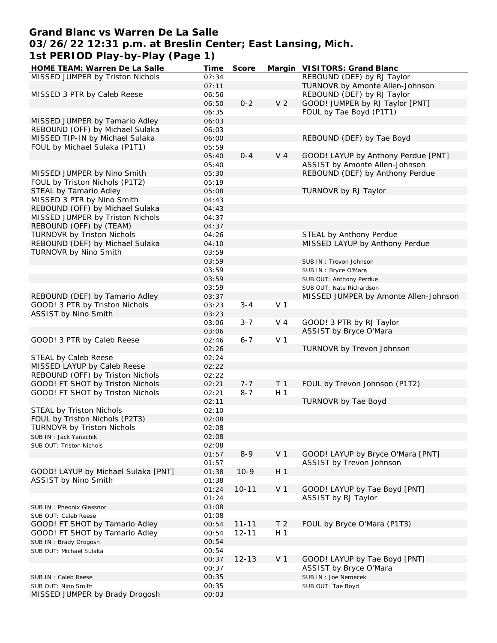## **Grand Blanc vs Warren De La Salle 03/26/22 12:31 p.m. at Breslin Center; East Lansing, Mich. 1st PERIOD Play-by-Play (Page 1)**

| HOME TEAM: Warren De La Salle       | Time  | Score     |                | Margin VISITORS: Grand Blanc          |
|-------------------------------------|-------|-----------|----------------|---------------------------------------|
| MISSED JUMPER by Triston Nichols    | 07:34 |           |                | REBOUND (DEF) by RJ Taylor            |
|                                     | 07:11 |           |                | TURNOVR by Amonte Allen-Johnson       |
| MISSED 3 PTR by Caleb Reese         | 06:56 |           |                | REBOUND (DEF) by RJ Taylor            |
|                                     | 06:50 | $0 - 2$   | V <sub>2</sub> | GOOD! JUMPER by RJ Taylor [PNT]       |
|                                     | 06:35 |           |                | FOUL by Tae Boyd (P1T1)               |
| MISSED JUMPER by Tamario Adley      | 06:03 |           |                |                                       |
| REBOUND (OFF) by Michael Sulaka     | 06:03 |           |                |                                       |
| MISSED TIP-IN by Michael Sulaka     | 06:00 |           |                | REBOUND (DEF) by Tae Boyd             |
| FOUL by Michael Sulaka (P1T1)       | 05:59 |           |                |                                       |
|                                     |       | $0 - 4$   | V <sub>4</sub> |                                       |
|                                     | 05:40 |           |                | GOOD! LAYUP by Anthony Perdue [PNT]   |
|                                     | 05:40 |           |                | ASSIST by Amonte Allen-Johnson        |
| MISSED JUMPER by Nino Smith         | 05:30 |           |                | REBOUND (DEF) by Anthony Perdue       |
| FOUL by Triston Nichols (P1T2)      | 05:19 |           |                |                                       |
| STEAL by Tamario Adley              | 05:08 |           |                | TURNOVR by RJ Taylor                  |
| MISSED 3 PTR by Nino Smith          | 04:43 |           |                |                                       |
| REBOUND (OFF) by Michael Sulaka     | 04:43 |           |                |                                       |
| MISSED JUMPER by Triston Nichols    | 04:37 |           |                |                                       |
| REBOUND (OFF) by (TEAM)             | 04:37 |           |                |                                       |
| TURNOVR by Triston Nichols          | 04:26 |           |                | STEAL by Anthony Perdue               |
| REBOUND (DEF) by Michael Sulaka     | 04:10 |           |                | MISSED LAYUP by Anthony Perdue        |
| TURNOVR by Nino Smith               | 03:59 |           |                |                                       |
|                                     | 03:59 |           |                | SUB IN: Trevon Johnson                |
|                                     | 03:59 |           |                | SUB IN: Bryce O'Mara                  |
|                                     | 03:59 |           |                | SUB OUT: Anthony Perdue               |
|                                     | 03:59 |           |                | SUB OUT: Nate Richardson              |
| REBOUND (DEF) by Tamario Adley      | 03:37 |           |                | MISSED JUMPER by Amonte Allen-Johnson |
| GOOD! 3 PTR by Triston Nichols      | 03:23 | $3 - 4$   | V <sub>1</sub> |                                       |
| ASSIST by Nino Smith                | 03:23 |           |                |                                       |
|                                     |       | $3 - 7$   | V <sub>4</sub> | GOOD! 3 PTR by RJ Taylor              |
|                                     | 03:06 |           |                |                                       |
|                                     | 03:06 |           |                | ASSIST by Bryce O'Mara                |
| GOOD! 3 PTR by Caleb Reese          | 02:46 | $6 - 7$   | V <sub>1</sub> |                                       |
|                                     | 02:26 |           |                | TURNOVR by Trevon Johnson             |
| STEAL by Caleb Reese                | 02:24 |           |                |                                       |
| MISSED LAYUP by Caleb Reese         | 02:22 |           |                |                                       |
| REBOUND (OFF) by Triston Nichols    | 02:22 |           |                |                                       |
| GOOD! FT SHOT by Triston Nichols    | 02:21 | $7 - 7$   | T <sub>1</sub> | FOUL by Trevon Johnson (P1T2)         |
| GOOD! FT SHOT by Triston Nichols    | 02:21 | $8 - 7$   | H <sub>1</sub> |                                       |
|                                     | 02:11 |           |                | TURNOVR by Tae Boyd                   |
| STEAL by Triston Nichols            | 02:10 |           |                |                                       |
| FOUL by Triston Nichols (P2T3)      | 02:08 |           |                |                                       |
| TURNOVR by Triston Nichols          | 02:08 |           |                |                                       |
| SUB IN: Jack Yanachik               | 02:08 |           |                |                                       |
| SUB OUT: Triston Nichols            | 02:08 |           |                |                                       |
|                                     | 01:57 | $8 - 9$   | V <sub>1</sub> | GOOD! LAYUP by Bryce O'Mara [PNT]     |
|                                     | 01:57 |           |                | ASSIST by Trevon Johnson              |
| GOOD! LAYUP by Michael Sulaka [PNT] | 01:38 | $10-9$    | H <sub>1</sub> |                                       |
| ASSIST by Nino Smith                | 01:38 |           |                |                                       |
|                                     | 01:24 | $10 - 11$ | V <sub>1</sub> | GOOD! LAYUP by Tae Boyd [PNT]         |
|                                     | 01:24 |           |                | ASSIST by RJ Taylor                   |
| SUB IN: Pheonix Glassnor            | 01:08 |           |                |                                       |
|                                     | 01:08 |           |                |                                       |
| SUB OUT: Caleb Reese                |       | $11 - 11$ |                | FOUL by Bryce O'Mara (P1T3)           |
| GOOD! FT SHOT by Tamario Adley      | 00:54 |           | T <sub>2</sub> |                                       |
| GOOD! FT SHOT by Tamario Adley      | 00:54 | $12 - 11$ | H <sub>1</sub> |                                       |
| SUB IN: Brady Drogosh               | 00:54 |           |                |                                       |
| SUB OUT: Michael Sulaka             | 00:54 |           |                |                                       |
|                                     | 00:37 | $12 - 13$ | V <sub>1</sub> | GOOD! LAYUP by Tae Boyd [PNT]         |
|                                     | 00:37 |           |                | ASSIST by Bryce O'Mara                |
| SUB IN: Caleb Reese                 | 00:35 |           |                | SUB IN : Joe Nemecek                  |
| SUB OUT: Nino Smith                 | 00:35 |           |                | SUB OUT: Tae Boyd                     |
| MISSED JUMPER by Brady Drogosh      | 00:03 |           |                |                                       |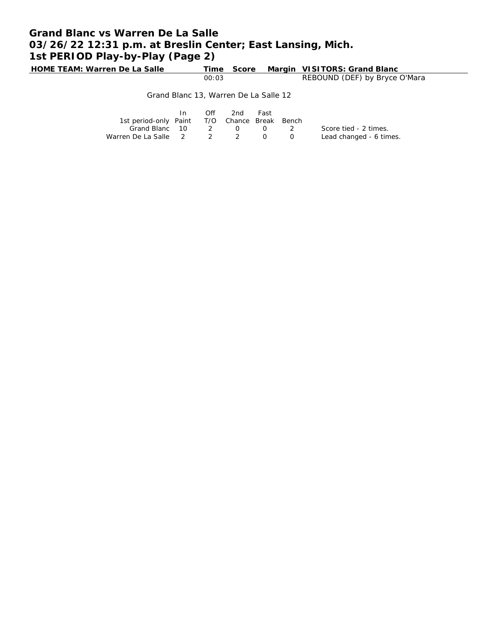# **Grand Blanc vs Warren De La Salle 03/26/22 12:31 p.m. at Breslin Center; East Lansing, Mich. 1st PERIOD Play-by-Play (Page 2)**

**HOME TEAM: Warren De La Salle Time Score Margin VISITORS: Grand Blanc** 00:03 REBOUND (DEF) by Bryce O'Mara

#### Grand Blanc 13, Warren De La Salle 12

|                                              | In | Off | 2nd | Fast |                                                                                                |                         |
|----------------------------------------------|----|-----|-----|------|------------------------------------------------------------------------------------------------|-------------------------|
| 1st period-only Paint T/O Chance Break Bench |    |     |     |      |                                                                                                |                         |
| Grand Blanc 10 2 0 0                         |    |     |     |      | $\sim$ 2                                                                                       | Score tied - 2 times.   |
| Warren De La Salle 2 2 2                     |    |     |     |      | $\left( \begin{array}{ccc} \cdot & \cdot & \cdot \\ \cdot & \cdot & \cdot \end{array} \right)$ | Lead changed - 6 times. |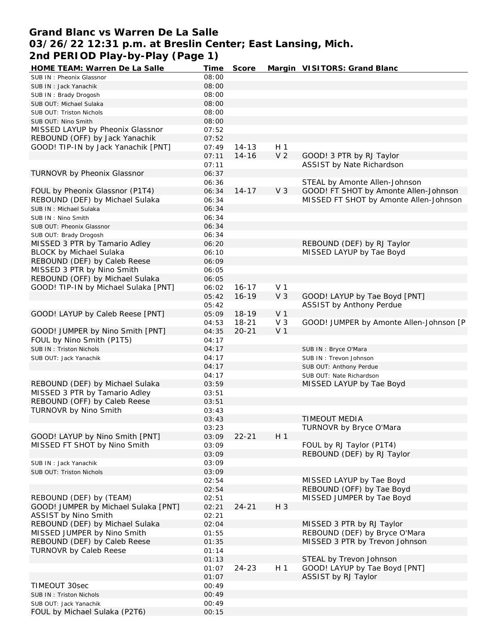### **Grand Blanc vs Warren De La Salle 03/26/22 12:31 p.m. at Breslin Center; East Lansing, Mich. 2nd PERIOD Play-by-Play (Page 1)**

| HOME TEAM: Warren De La Salle        | Time  | Score     |                | Margin VISITORS: Grand Blanc            |
|--------------------------------------|-------|-----------|----------------|-----------------------------------------|
| SUB IN: Pheonix Glassnor             | 08:00 |           |                |                                         |
| SUB IN: Jack Yanachik                | 08:00 |           |                |                                         |
| SUB IN: Brady Drogosh                | 08:00 |           |                |                                         |
| SUB OUT: Michael Sulaka              | 08:00 |           |                |                                         |
| SUB OUT: Triston Nichols             | 08:00 |           |                |                                         |
| SUB OUT: Nino Smith                  | 08:00 |           |                |                                         |
| MISSED LAYUP by Pheonix Glassnor     | 07:52 |           |                |                                         |
| REBOUND (OFF) by Jack Yanachik       | 07:52 |           |                |                                         |
| GOOD! TIP-IN by Jack Yanachik [PNT]  | 07:49 | $14 - 13$ | H <sub>1</sub> |                                         |
|                                      | 07:11 | $14 - 16$ | V <sub>2</sub> | GOOD! 3 PTR by RJ Taylor                |
|                                      | 07:11 |           |                | ASSIST by Nate Richardson               |
| TURNOVR by Pheonix Glassnor          | 06:37 |           |                |                                         |
|                                      | 06:36 |           |                | STEAL by Amonte Allen-Johnson           |
| FOUL by Pheonix Glassnor (P1T4)      | 06:34 | $14 - 17$ | V <sub>3</sub> | GOOD! FT SHOT by Amonte Allen-Johnson   |
| REBOUND (DEF) by Michael Sulaka      | 06:34 |           |                | MISSED FT SHOT by Amonte Allen-Johnson  |
| SUB IN: Michael Sulaka               | 06:34 |           |                |                                         |
| SUB IN: Nino Smith                   | 06:34 |           |                |                                         |
| SUB OUT: Pheonix Glassnor            | 06:34 |           |                |                                         |
| SUB OUT: Brady Drogosh               | 06:34 |           |                |                                         |
| MISSED 3 PTR by Tamario Adley        | 06:20 |           |                | REBOUND (DEF) by RJ Taylor              |
| <b>BLOCK by Michael Sulaka</b>       | 06:10 |           |                | MISSED LAYUP by Tae Boyd                |
| REBOUND (DEF) by Caleb Reese         | 06:09 |           |                |                                         |
| MISSED 3 PTR by Nino Smith           | 06:05 |           |                |                                         |
| REBOUND (OFF) by Michael Sulaka      | 06:05 |           |                |                                         |
| GOOD! TIP-IN by Michael Sulaka [PNT] | 06:02 | $16 - 17$ | V <sub>1</sub> |                                         |
|                                      | 05:42 | $16 - 19$ | V <sub>3</sub> | GOOD! LAYUP by Tae Boyd [PNT]           |
|                                      | 05:42 |           |                | ASSIST by Anthony Perdue                |
| GOOD! LAYUP by Caleb Reese [PNT]     | 05:09 | 18-19     | V <sub>1</sub> |                                         |
|                                      | 04:53 | $18 - 21$ | V <sub>3</sub> | GOOD! JUMPER by Amonte Allen-Johnson [P |
| GOOD! JUMPER by Nino Smith [PNT]     | 04:35 | $20 - 21$ | V <sub>1</sub> |                                         |
| FOUL by Nino Smith (P1T5)            | 04:17 |           |                |                                         |
| SUB IN: Triston Nichols              | 04:17 |           |                |                                         |
|                                      | 04:17 |           |                | SUB IN: Bryce O'Mara                    |
| SUB OUT: Jack Yanachik               |       |           |                | SUB IN: Trevon Johnson                  |
|                                      | 04:17 |           |                | SUB OUT: Anthony Perdue                 |
|                                      | 04:17 |           |                | SUB OUT: Nate Richardson                |
| REBOUND (DEF) by Michael Sulaka      | 03:59 |           |                | MISSED LAYUP by Tae Boyd                |
| MISSED 3 PTR by Tamario Adley        | 03:51 |           |                |                                         |
| REBOUND (OFF) by Caleb Reese         | 03:51 |           |                |                                         |
| TURNOVR by Nino Smith                | 03:43 |           |                |                                         |
|                                      | 03:43 |           |                | TIMEOUT MEDIA                           |
|                                      | 03:23 |           |                | TURNOVR by Bryce O'Mara                 |
| GOOD! LAYUP by Nino Smith [PNT]      | 03:09 | $22 - 21$ | H <sub>1</sub> |                                         |
| MISSED FT SHOT by Nino Smith         | 03:09 |           |                | FOUL by RJ Taylor (P1T4)                |
|                                      | 03:09 |           |                | REBOUND (DEF) by RJ Taylor              |
| SUB IN: Jack Yanachik                | 03:09 |           |                |                                         |
| SUB OUT: Triston Nichols             | 03:09 |           |                |                                         |
|                                      | 02:54 |           |                | MISSED LAYUP by Tae Boyd                |
|                                      | 02:54 |           |                | REBOUND (OFF) by Tae Boyd               |
| REBOUND (DEF) by (TEAM)              | 02:51 |           |                | MISSED JUMPER by Tae Boyd               |
| GOOD! JUMPER by Michael Sulaka [PNT] | 02:21 | $24 - 21$ | H 3            |                                         |
| ASSIST by Nino Smith                 | 02:21 |           |                |                                         |
| REBOUND (DEF) by Michael Sulaka      | 02:04 |           |                | MISSED 3 PTR by RJ Taylor               |
| MISSED JUMPER by Nino Smith          | 01:55 |           |                | REBOUND (DEF) by Bryce O'Mara           |
| REBOUND (DEF) by Caleb Reese         | 01:35 |           |                | MISSED 3 PTR by Trevon Johnson          |
| <b>TURNOVR by Caleb Reese</b>        | 01:14 |           |                |                                         |
|                                      | 01:13 |           |                | STEAL by Trevon Johnson                 |
|                                      | 01:07 | $24 - 23$ | H <sub>1</sub> | GOOD! LAYUP by Tae Boyd [PNT]           |
|                                      | 01:07 |           |                | ASSIST by RJ Taylor                     |
| TIMEOUT 30sec                        | 00:49 |           |                |                                         |
| SUB IN: Triston Nichols              | 00:49 |           |                |                                         |
| SUB OUT: Jack Yanachik               | 00:49 |           |                |                                         |
| FOUL by Michael Sulaka (P2T6)        | 00:15 |           |                |                                         |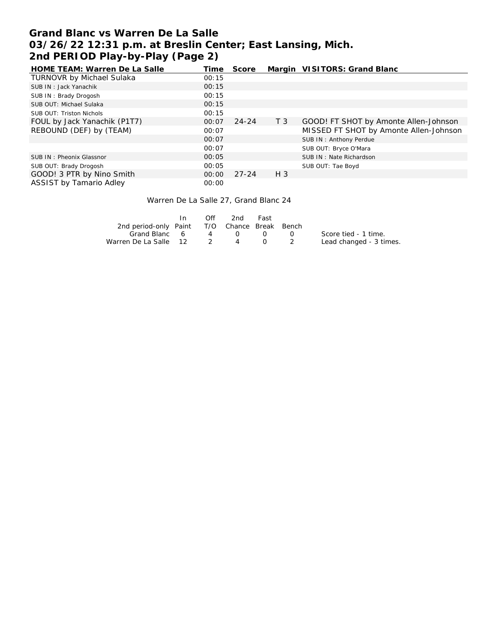# **Grand Blanc vs Warren De La Salle 03/26/22 12:31 p.m. at Breslin Center; East Lansing, Mich. 2nd PERIOD Play-by-Play (Page 2)**

| HOME TEAM: Warren De La Salle    | Time  | Score     |                | Margin VISITORS: Grand Blanc           |
|----------------------------------|-------|-----------|----------------|----------------------------------------|
| <b>TURNOVR by Michael Sulaka</b> | 00:15 |           |                |                                        |
| SUB IN: Jack Yanachik            | 00:15 |           |                |                                        |
| SUB IN: Brady Drogosh            | 00:15 |           |                |                                        |
| SUB OUT: Michael Sulaka          | 00:15 |           |                |                                        |
| SUB OUT: Triston Nichols         | 00:15 |           |                |                                        |
| FOUL by Jack Yanachik (P1T7)     | 00:07 | $24 - 24$ | T <sub>3</sub> | GOOD! FT SHOT by Amonte Allen-Johnson  |
| REBOUND (DEF) by (TEAM)          | 00:07 |           |                | MISSED FT SHOT by Amonte Allen-Johnson |
|                                  | 00:07 |           |                | SUB IN: Anthony Perdue                 |
|                                  | 00:07 |           |                | SUB OUT: Bryce O'Mara                  |
| SUB IN: Pheonix Glassnor         | 00:05 |           |                | SUB IN: Nate Richardson                |
| SUB OUT: Brady Drogosh           | 00:05 |           |                | SUB OUT: Tae Boyd                      |
| GOOD! 3 PTR by Nino Smith        | 00:00 | $27 - 24$ | $H_3$          |                                        |
| ASSIST by Tamario Adley          | 00:00 |           |                |                                        |

#### Warren De La Salle 27, Grand Blanc 24

|                                              | Off | 2nd -    | Fast                                          |           |                         |
|----------------------------------------------|-----|----------|-----------------------------------------------|-----------|-------------------------|
| 2nd period-only Paint T/O Chance Break Bench |     |          |                                               |           |                         |
| Grand Blanc 6                                |     | 4 0      | $\left( \begin{array}{c} \end{array} \right)$ | $\bigcap$ | Score tied - 1 time.    |
| Warren De La Salle 12 2                      |     | $\sim$ 4 | $\begin{array}{ccc} & & & 2 \end{array}$      |           | Lead changed - 3 times. |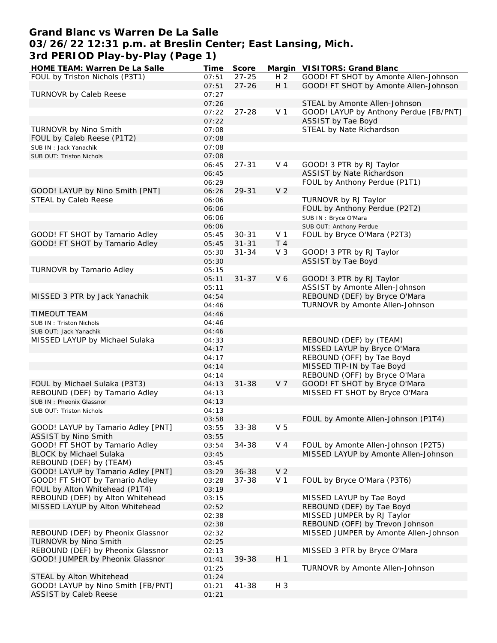## **Grand Blanc vs Warren De La Salle**

# **03/26/22 12:31 p.m. at Breslin Center; East Lansing, Mich.**

**3rd PERIOD Play-by-Play (Page 1)**

| HOME TEAM: Warren De La Salle      | Time  | Score     |                | Margin VISITORS: Grand Blanc           |
|------------------------------------|-------|-----------|----------------|----------------------------------------|
| FOUL by Triston Nichols (P3T1)     | 07:51 | $27 - 25$ | H <sub>2</sub> | GOOD! FT SHOT by Amonte Allen-Johnson  |
|                                    | 07:51 | $27 - 26$ | H <sub>1</sub> | GOOD! FT SHOT by Amonte Allen-Johnson  |
| TURNOVR by Caleb Reese             | 07:27 |           |                |                                        |
|                                    | 07:26 |           |                | STEAL by Amonte Allen-Johnson          |
|                                    | 07:22 | $27 - 28$ | V <sub>1</sub> | GOOD! LAYUP by Anthony Perdue [FB/PNT] |
|                                    | 07:22 |           |                | ASSIST by Tae Boyd                     |
| TURNOVR by Nino Smith              | 07:08 |           |                | STEAL by Nate Richardson               |
|                                    |       |           |                |                                        |
| FOUL by Caleb Reese (P1T2)         | 07:08 |           |                |                                        |
| SUB IN: Jack Yanachik              | 07:08 |           |                |                                        |
| SUB OUT: Triston Nichols           | 07:08 |           |                |                                        |
|                                    | 06:45 | $27 - 31$ | $V_4$          | GOOD! 3 PTR by RJ Taylor               |
|                                    | 06:45 |           |                | ASSIST by Nate Richardson              |
|                                    | 06:29 |           |                | FOUL by Anthony Perdue (P1T1)          |
| GOOD! LAYUP by Nino Smith [PNT]    | 06:26 | 29-31     | V <sub>2</sub> |                                        |
| STEAL by Caleb Reese               | 06:06 |           |                | TURNOVR by RJ Taylor                   |
|                                    | 06:06 |           |                | FOUL by Anthony Perdue (P2T2)          |
|                                    | 06:06 |           |                | SUB IN : Bryce O'Mara                  |
|                                    | 06:06 |           |                | SUB OUT: Anthony Perdue                |
| GOOD! FT SHOT by Tamario Adley     |       | $30 - 31$ | V <sub>1</sub> | FOUL by Bryce O'Mara (P2T3)            |
|                                    | 05:45 |           |                |                                        |
| GOOD! FT SHOT by Tamario Adley     | 05:45 | $31 - 31$ | T <sub>4</sub> |                                        |
|                                    | 05:30 | $31 - 34$ | $V_3$          | GOOD! 3 PTR by RJ Taylor               |
|                                    | 05:30 |           |                | ASSIST by Tae Boyd                     |
| TURNOVR by Tamario Adley           | 05:15 |           |                |                                        |
|                                    | 05:11 | $31 - 37$ | V6             | GOOD! 3 PTR by RJ Taylor               |
|                                    | 05:11 |           |                | ASSIST by Amonte Allen-Johnson         |
| MISSED 3 PTR by Jack Yanachik      | 04:54 |           |                | REBOUND (DEF) by Bryce O'Mara          |
|                                    | 04:46 |           |                | TURNOVR by Amonte Allen-Johnson        |
| <b>TIMEOUT TEAM</b>                | 04:46 |           |                |                                        |
| SUB IN: Triston Nichols            | 04:46 |           |                |                                        |
|                                    | 04:46 |           |                |                                        |
| SUB OUT: Jack Yanachik             |       |           |                |                                        |
| MISSED LAYUP by Michael Sulaka     | 04:33 |           |                | REBOUND (DEF) by (TEAM)                |
|                                    | 04:17 |           |                | MISSED LAYUP by Bryce O'Mara           |
|                                    | 04:17 |           |                | REBOUND (OFF) by Tae Boyd              |
|                                    | 04:14 |           |                | MISSED TIP-IN by Tae Boyd              |
|                                    | 04:14 |           |                | REBOUND (OFF) by Bryce O'Mara          |
| FOUL by Michael Sulaka (P3T3)      | 04:13 | $31 - 38$ | V 7            | GOOD! FT SHOT by Bryce O'Mara          |
| REBOUND (DEF) by Tamario Adley     | 04:13 |           |                | MISSED FT SHOT by Bryce O'Mara         |
| SUB IN: Pheonix Glassnor           | 04:13 |           |                |                                        |
| SUB OUT: Triston Nichols           | 04:13 |           |                |                                        |
|                                    | 03:58 |           |                | FOUL by Amonte Allen-Johnson (P1T4)    |
| GOOD! LAYUP by Tamario Adley [PNT] | 03:55 | 33-38     | V <sub>5</sub> |                                        |
| ASSIST by Nino Smith               | 03:55 |           |                |                                        |
| GOOD! FT SHOT by Tamario Adley     | 03:54 | 34-38     | V <sub>4</sub> | FOUL by Amonte Allen-Johnson (P2T5)    |
|                                    |       |           |                |                                        |
| <b>BLOCK by Michael Sulaka</b>     | 03:45 |           |                | MISSED LAYUP by Amonte Allen-Johnson   |
| REBOUND (DEF) by (TEAM)            | 03:45 |           |                |                                        |
| GOOD! LAYUP by Tamario Adley [PNT] | 03:29 | $36 - 38$ | V <sub>2</sub> |                                        |
| GOOD! FT SHOT by Tamario Adley     | 03:28 | $37 - 38$ | V <sub>1</sub> | FOUL by Bryce O'Mara (P3T6)            |
| FOUL by Alton Whitehead (P1T4)     | 03:19 |           |                |                                        |
| REBOUND (DEF) by Alton Whitehead   | 03:15 |           |                | MISSED LAYUP by Tae Boyd               |
| MISSED LAYUP by Alton Whitehead    | 02:52 |           |                | REBOUND (DEF) by Tae Boyd              |
|                                    | 02:38 |           |                | MISSED JUMPER by RJ Taylor             |
|                                    | 02:38 |           |                | REBOUND (OFF) by Trevon Johnson        |
| REBOUND (DEF) by Pheonix Glassnor  | 02:32 |           |                | MISSED JUMPER by Amonte Allen-Johnson  |
| TURNOVR by Nino Smith              | 02:25 |           |                |                                        |
|                                    |       |           |                |                                        |
| REBOUND (DEF) by Pheonix Glassnor  | 02:13 |           |                | MISSED 3 PTR by Bryce O'Mara           |
| GOOD! JUMPER by Pheonix Glassnor   | 01:41 | 39-38     | H <sub>1</sub> |                                        |
|                                    | 01:25 |           |                | TURNOVR by Amonte Allen-Johnson        |
| STEAL by Alton Whitehead           | 01:24 |           |                |                                        |
| GOOD! LAYUP by Nino Smith [FB/PNT] | 01:21 | 41-38     | H 3            |                                        |
| <b>ASSIST by Caleb Reese</b>       | 01:21 |           |                |                                        |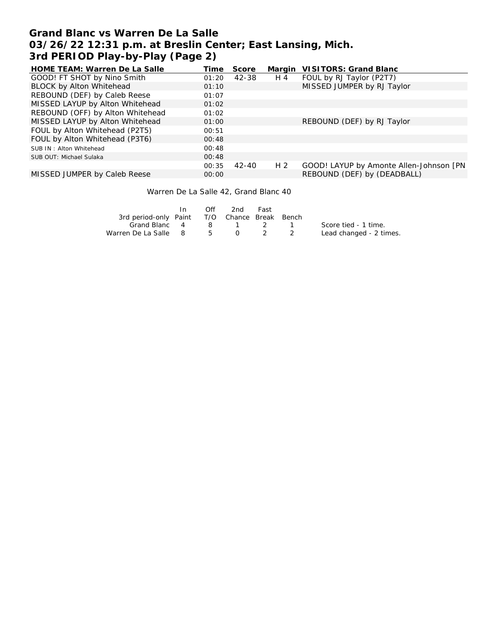## **Grand Blanc vs Warren De La Salle 03/26/22 12:31 p.m. at Breslin Center; East Lansing, Mich. 3rd PERIOD Play-by-Play (Page 2)**

| HOME TEAM: Warren De La Salle    | Time  | Score     |                | Margin VISITORS: Grand Blanc            |
|----------------------------------|-------|-----------|----------------|-----------------------------------------|
| GOOD! FT SHOT by Nino Smith      | 01:20 | 42-38     | H 4            | FOUL by RJ Taylor (P2T7)                |
| BLOCK by Alton Whitehead         | 01:10 |           |                | MISSED JUMPER by RJ Taylor              |
| REBOUND (DEF) by Caleb Reese     | 01:07 |           |                |                                         |
| MISSED LAYUP by Alton Whitehead  | 01:02 |           |                |                                         |
| REBOUND (OFF) by Alton Whitehead | 01:02 |           |                |                                         |
| MISSED LAYUP by Alton Whitehead  | 01:00 |           |                | REBOUND (DEF) by RJ Taylor              |
| FOUL by Alton Whitehead (P2T5)   | 00:51 |           |                |                                         |
| FOUL by Alton Whitehead (P3T6)   | 00:48 |           |                |                                         |
| SUB IN: Alton Whitehead          | 00:48 |           |                |                                         |
| SUB OUT: Michael Sulaka          | 00:48 |           |                |                                         |
|                                  | 00:35 | $42 - 40$ | H <sub>2</sub> | GOOD! LAYUP by Amonte Allen-Johnson [PN |
| MISSED JUMPER by Caleb Reese     | 00:00 |           |                | REBOUND (DEF) by (DEADBALL)             |

Warren De La Salle 42, Grand Blanc 40

|                                              | Off | 2nd -   | Fast          |                         |
|----------------------------------------------|-----|---------|---------------|-------------------------|
| 3rd period-only Paint T/O Chance Break Bench |     |         |               |                         |
| Grand Blanc 4                                |     | 8 1 2 1 |               | Score tied - 1 time.    |
| Warren De La Salle 8 5                       |     |         | $0 \t 2 \t 2$ | Lead changed - 2 times. |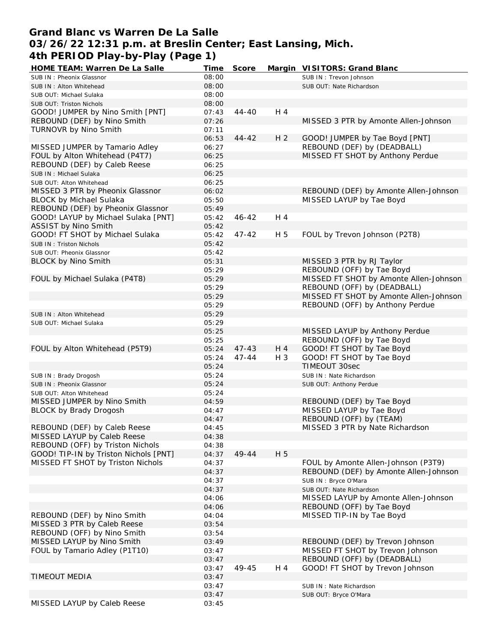## **Grand Blanc vs Warren De La Salle 03/26/22 12:31 p.m. at Breslin Center; East Lansing, Mich. 4th PERIOD Play-by-Play (Page 1)**

| HOME TEAM: Warren De La Salle         | Time  | Score     |                | Margin VISITORS: Grand Blanc           |
|---------------------------------------|-------|-----------|----------------|----------------------------------------|
| SUB IN: Pheonix Glassnor              | 08:00 |           |                | SUB IN: Trevon Johnson                 |
| SUB IN: Alton Whitehead               | 08:00 |           |                | SUB OUT: Nate Richardson               |
| SUB OUT: Michael Sulaka               | 08:00 |           |                |                                        |
| SUB OUT: Triston Nichols              | 08:00 |           |                |                                        |
| GOOD! JUMPER by Nino Smith [PNT]      | 07:43 | 44-40     | H 4            |                                        |
| REBOUND (DEF) by Nino Smith           | 07:26 |           |                | MISSED 3 PTR by Amonte Allen-Johnson   |
| TURNOVR by Nino Smith                 | 07:11 |           |                |                                        |
|                                       | 06:53 | $44 - 42$ | H <sub>2</sub> | GOOD! JUMPER by Tae Boyd [PNT]         |
| MISSED JUMPER by Tamario Adley        | 06:27 |           |                | REBOUND (DEF) by (DEADBALL)            |
| FOUL by Alton Whitehead (P4T7)        | 06:25 |           |                | MISSED FT SHOT by Anthony Perdue       |
| REBOUND (DEF) by Caleb Reese          | 06:25 |           |                |                                        |
| SUB IN: Michael Sulaka                | 06:25 |           |                |                                        |
| SUB OUT: Alton Whitehead              | 06:25 |           |                |                                        |
| MISSED 3 PTR by Pheonix Glassnor      | 06:02 |           |                | REBOUND (DEF) by Amonte Allen-Johnson  |
| <b>BLOCK by Michael Sulaka</b>        | 05:50 |           |                | MISSED LAYUP by Tae Boyd               |
| REBOUND (DEF) by Pheonix Glassnor     | 05:49 |           |                |                                        |
| GOOD! LAYUP by Michael Sulaka [PNT]   | 05:42 | $46 - 42$ | H 4            |                                        |
| ASSIST by Nino Smith                  | 05:42 |           |                |                                        |
| GOOD! FT SHOT by Michael Sulaka       | 05:42 | $47 - 42$ | H 5            | FOUL by Trevon Johnson (P2T8)          |
| SUB IN: Triston Nichols               | 05:42 |           |                |                                        |
| SUB OUT: Pheonix Glassnor             | 05:42 |           |                |                                        |
| BLOCK by Nino Smith                   | 05:31 |           |                | MISSED 3 PTR by RJ Taylor              |
|                                       | 05:29 |           |                | REBOUND (OFF) by Tae Boyd              |
| FOUL by Michael Sulaka (P4T8)         | 05:29 |           |                | MISSED FT SHOT by Amonte Allen-Johnson |
|                                       | 05:29 |           |                | REBOUND (OFF) by (DEADBALL)            |
|                                       | 05:29 |           |                | MISSED FT SHOT by Amonte Allen-Johnson |
|                                       |       |           |                | REBOUND (OFF) by Anthony Perdue        |
|                                       | 05:29 |           |                |                                        |
| SUB IN: Alton Whitehead               | 05:29 |           |                |                                        |
| SUB OUT: Michael Sulaka               | 05:29 |           |                |                                        |
|                                       | 05:25 |           |                | MISSED LAYUP by Anthony Perdue         |
|                                       | 05:25 |           |                | REBOUND (OFF) by Tae Boyd              |
| FOUL by Alton Whitehead (P5T9)        | 05:24 | $47 - 43$ | H 4            | GOOD! FT SHOT by Tae Boyd              |
|                                       | 05:24 | $47 - 44$ | $H_3$          | GOOD! FT SHOT by Tae Boyd              |
|                                       | 05:24 |           |                | <b>TIMEOUT 30sec</b>                   |
| SUB IN: Brady Drogosh                 | 05:24 |           |                | SUB IN: Nate Richardson                |
| SUB IN: Pheonix Glassnor              | 05:24 |           |                | SUB OUT: Anthony Perdue                |
| SUB OUT: Alton Whitehead              | 05:24 |           |                |                                        |
| MISSED JUMPER by Nino Smith           | 04:59 |           |                | REBOUND (DEF) by Tae Boyd              |
| BLOCK by Brady Drogosh                | 04:47 |           |                | MISSED LAYUP by Tae Boyd               |
|                                       | 04:47 |           |                | REBOUND (OFF) by (TEAM)                |
| REBOUND (DEF) by Caleb Reese          | 04:45 |           |                | MISSED 3 PTR by Nate Richardson        |
| MISSED LAYUP by Caleb Reese           | 04:38 |           |                |                                        |
| REBOUND (OFF) by Triston Nichols      | 04:38 |           |                |                                        |
| GOOD! TIP-IN by Triston Nichols [PNT] | 04:37 | 49-44     | H 5            |                                        |
| MISSED FT SHOT by Triston Nichols     | 04:37 |           |                | FOUL by Amonte Allen-Johnson (P3T9)    |
|                                       | 04:37 |           |                | REBOUND (DEF) by Amonte Allen-Johnson  |
|                                       | 04:37 |           |                | SUB IN : Bryce O'Mara                  |
|                                       | 04:37 |           |                | SUB OUT: Nate Richardson               |
|                                       | 04:06 |           |                | MISSED LAYUP by Amonte Allen-Johnson   |
|                                       | 04:06 |           |                | REBOUND (OFF) by Tae Boyd              |
| REBOUND (DEF) by Nino Smith           | 04:04 |           |                | MISSED TIP-IN by Tae Boyd              |
| MISSED 3 PTR by Caleb Reese           | 03:54 |           |                |                                        |
| REBOUND (OFF) by Nino Smith           | 03:54 |           |                |                                        |
| MISSED LAYUP by Nino Smith            | 03:49 |           |                | REBOUND (DEF) by Trevon Johnson        |
| FOUL by Tamario Adley (P1T10)         | 03:47 |           |                | MISSED FT SHOT by Trevon Johnson       |
|                                       | 03:47 |           |                | REBOUND (OFF) by (DEADBALL)            |
|                                       | 03:47 | 49-45     | H 4            | GOOD! FT SHOT by Trevon Johnson        |
| TIMEOUT MEDIA                         | 03:47 |           |                |                                        |
|                                       | 03:47 |           |                | SUB IN: Nate Richardson                |
|                                       | 03:47 |           |                | SUB OUT: Bryce O'Mara                  |
| MISSED LAYUP by Caleb Reese           | 03:45 |           |                |                                        |
|                                       |       |           |                |                                        |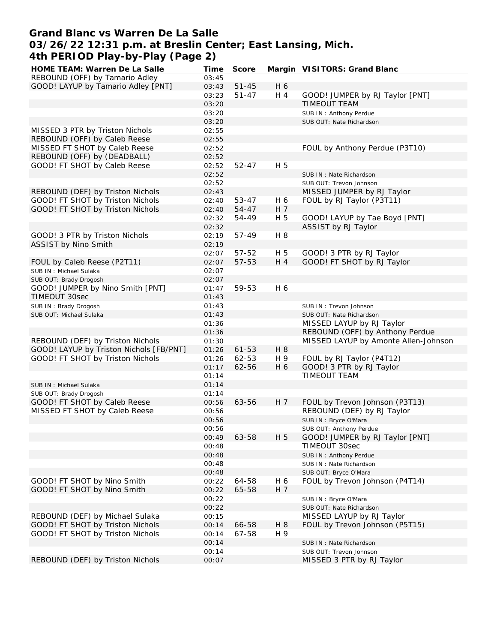# **Grand Blanc vs Warren De La Salle 03/26/22 12:31 p.m. at Breslin Center; East Lansing, Mich. 4th PERIOD Play-by-Play (Page 2)**

| HOME TEAM: Warren De La Salle           | Time  | Score     |                | Margin VISITORS: Grand Blanc         |
|-----------------------------------------|-------|-----------|----------------|--------------------------------------|
| REBOUND (OFF) by Tamario Adley          | 03:45 |           |                |                                      |
| GOOD! LAYUP by Tamario Adley [PNT]      | 03:43 | $51 - 45$ | H 6            |                                      |
|                                         | 03:23 | $51 - 47$ | H 4            | GOOD! JUMPER by RJ Taylor [PNT]      |
|                                         | 03:20 |           |                | TIMEOUT TEAM                         |
|                                         | 03:20 |           |                | SUB IN: Anthony Perdue               |
|                                         | 03:20 |           |                | SUB OUT: Nate Richardson             |
| MISSED 3 PTR by Triston Nichols         | 02:55 |           |                |                                      |
| REBOUND (OFF) by Caleb Reese            | 02:55 |           |                |                                      |
| MISSED FT SHOT by Caleb Reese           | 02:52 |           |                | FOUL by Anthony Perdue (P3T10)       |
| REBOUND (OFF) by (DEADBALL)             | 02:52 |           |                |                                      |
| GOOD! FT SHOT by Caleb Reese            | 02:52 | $52 - 47$ | H 5            |                                      |
|                                         | 02:52 |           |                |                                      |
|                                         |       |           |                | SUB IN: Nate Richardson              |
|                                         | 02:52 |           |                | SUB OUT: Trevon Johnson              |
| REBOUND (DEF) by Triston Nichols        | 02:43 |           |                | MISSED JUMPER by RJ Taylor           |
| GOOD! FT SHOT by Triston Nichols        | 02:40 | 53-47     | H 6            | FOUL by RJ Taylor (P3T11)            |
| GOOD! FT SHOT by Triston Nichols        | 02:40 | 54-47     | H 7            |                                      |
|                                         | 02:32 | 54-49     | H 5            | GOOD! LAYUP by Tae Boyd [PNT]        |
|                                         | 02:32 |           |                | ASSIST by RJ Taylor                  |
| GOOD! 3 PTR by Triston Nichols          | 02:19 | 57-49     | H 8            |                                      |
| ASSIST by Nino Smith                    | 02:19 |           |                |                                      |
|                                         | 02:07 | 57-52     | H 5            | GOOD! 3 PTR by RJ Taylor             |
| FOUL by Caleb Reese (P2T11)             | 02:07 | 57-53     | H 4            | GOOD! FT SHOT by RJ Taylor           |
| SUB IN: Michael Sulaka                  | 02:07 |           |                |                                      |
| SUB OUT: Brady Drogosh                  | 02:07 |           |                |                                      |
| GOOD! JUMPER by Nino Smith [PNT]        | 01:47 | 59-53     | H 6            |                                      |
| TIMEOUT 30sec                           | 01:43 |           |                |                                      |
| SUB IN: Brady Drogosh                   | 01:43 |           |                | SUB IN: Trevon Johnson               |
| SUB OUT: Michael Sulaka                 | 01:43 |           |                | SUB OUT: Nate Richardson             |
|                                         | 01:36 |           |                | MISSED LAYUP by RJ Taylor            |
|                                         | 01:36 |           |                | REBOUND (OFF) by Anthony Perdue      |
| REBOUND (DEF) by Triston Nichols        | 01:30 |           |                | MISSED LAYUP by Amonte Allen-Johnson |
| GOOD! LAYUP by Triston Nichols [FB/PNT] | 01:26 | $61 - 53$ | H 8            |                                      |
| GOOD! FT SHOT by Triston Nichols        |       |           |                |                                      |
|                                         | 01:26 | 62-53     | H 9            | FOUL by RJ Taylor (P4T12)            |
|                                         | 01:17 | 62-56     | H 6            | GOOD! 3 PTR by RJ Taylor             |
|                                         | 01:14 |           |                | TIMEOUT TEAM                         |
| SUB IN: Michael Sulaka                  | 01:14 |           |                |                                      |
| SUB OUT: Brady Drogosh                  | 01:14 |           |                |                                      |
| GOOD! FT SHOT by Caleb Reese            | 00:56 | 63-56     | H <sub>7</sub> | FOUL by Trevon Johnson (P3T13)       |
| MISSED FT SHOT by Caleb Reese           | 00:56 |           |                | REBOUND (DEF) by RJ Taylor           |
|                                         | 00:56 |           |                | SUB IN: Bryce O'Mara                 |
|                                         | 00:56 |           |                | SUB OUT: Anthony Perdue              |
|                                         | 00:49 | 63-58     | H 5            | GOOD! JUMPER by RJ Taylor [PNT]      |
|                                         | 00:48 |           |                | TIMEOUT 30sec                        |
|                                         | 00:48 |           |                | SUB IN: Anthony Perdue               |
|                                         | 00:48 |           |                | SUB IN: Nate Richardson              |
|                                         | 00:48 |           |                | SUB OUT: Bryce O'Mara                |
| GOOD! FT SHOT by Nino Smith             | 00:22 | 64-58     | H 6            | FOUL by Trevon Johnson (P4T14)       |
| GOOD! FT SHOT by Nino Smith             | 00:22 | 65-58     | H 7            |                                      |
|                                         | 00:22 |           |                | SUB IN : Bryce O'Mara                |
|                                         | 00:22 |           |                | SUB OUT: Nate Richardson             |
| REBOUND (DEF) by Michael Sulaka         | 00:15 |           |                | MISSED LAYUP by RJ Taylor            |
| GOOD! FT SHOT by Triston Nichols        | 00:14 | 66-58     | H <sub>8</sub> | FOUL by Trevon Johnson (P5T15)       |
| GOOD! FT SHOT by Triston Nichols        |       |           |                |                                      |
|                                         | 00:14 | 67-58     | H 9            |                                      |
|                                         | 00:14 |           |                | SUB IN: Nate Richardson              |
|                                         | 00:14 |           |                | SUB OUT: Trevon Johnson              |
| REBOUND (DEF) by Triston Nichols        | 00:07 |           |                | MISSED 3 PTR by RJ Taylor            |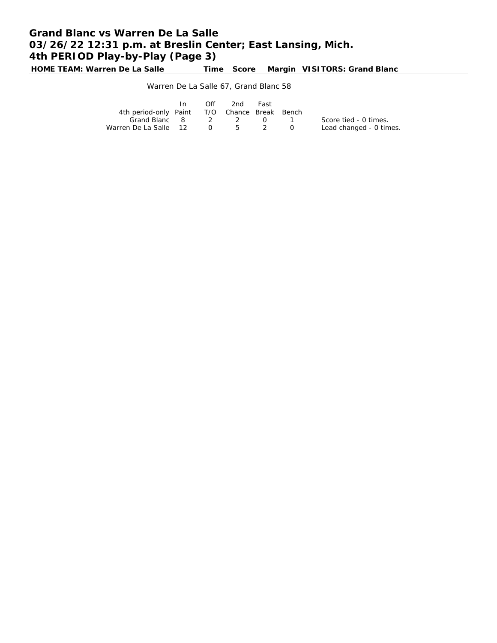**HOME TEAM: Warren De La Salle Time Score Margin VISITORS: Grand Blanc**

## Warren De La Salle 67, Grand Blanc 58

|                                              | Off | 2nd | Fast |                         |
|----------------------------------------------|-----|-----|------|-------------------------|
| 4th period-only Paint T/O Chance Break Bench |     |     |      |                         |
| Grand Blanc 8 2 2 0 1                        |     |     |      | Score tied - 0 times.   |
| Warren De La Salle 12 0 5 2                  |     |     |      | Lead changed - 0 times. |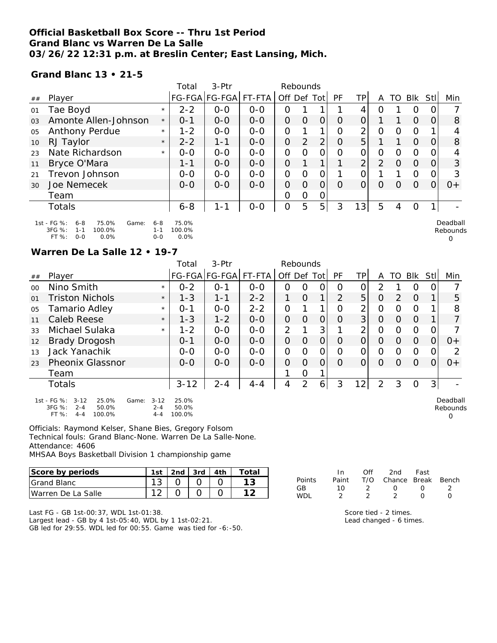### **Official Basketball Box Score -- Thru 1st Period Grand Blanc vs Warren De La Salle 03/26/22 12:31 p.m. at Breslin Center; East Lansing, Mich.**

**Grand Blanc 13 • 21-5**

|                |                                                                                                     |                               | Total                   | $3-Ptr$              |         |                | Rebounds       |                |           |    |                |                  |                |      |                           |
|----------------|-----------------------------------------------------------------------------------------------------|-------------------------------|-------------------------|----------------------|---------|----------------|----------------|----------------|-----------|----|----------------|------------------|----------------|------|---------------------------|
| ##             | Player                                                                                              |                               |                         | FG-FGA FG-FGA FT-FTA |         | Off Def Tot    |                |                | <b>PF</b> | ТP | A              | TO               | <b>BIK</b>     | Stll | Min                       |
| 01             | Tae Boyd                                                                                            | $\star$                       | $2 - 2$                 | $0 - 0$              | $O - O$ | 0              |                |                |           | 4  | ი              |                  | O              |      |                           |
| 0 <sub>3</sub> | Amonte Allen-Johnson                                                                                | $\star$                       | $0 - 1$                 | $0 - 0$              | $0 - 0$ | 0              | O              | 0              | 0         | 0  |                |                  | $\Omega$       | Ο    | 8                         |
| 05             | Anthony Perdue                                                                                      | $\star$                       | $1 - 2$                 | $0 - 0$              | $O - O$ | 0              |                |                | 0         | ⌒  | 0              | Ω                | O              |      | 4                         |
| 10             | RJ Taylor                                                                                           | $\star$                       | $2 - 2$                 | $1 - 1$              | $0 - 0$ | 0              | $\overline{2}$ | $\overline{2}$ | 0         | 5  |                |                  | $\Omega$       | Ο    | 8                         |
| 23             | Nate Richardson                                                                                     | $\star$                       | $0-0$                   | $O-O$                | $O-O$   | 0              | Ω              | Ω              | Ω         |    | 0              | Ω                | 0              |      |                           |
| 11             | Bryce O'Mara                                                                                        |                               | $1 - 1$                 | $0 - 0$              | $0 - 0$ | $\overline{O}$ |                | 1              |           | ⌒  | $\overline{2}$ | $\Omega$         | $\Omega$       | 0    | 3                         |
| 21             | Trevon Johnson                                                                                      |                               | $0-0$                   | $0-0$                | $0-0$   | 0              | Ω              | Ο              |           |    |                |                  | $\overline{O}$ | O    | 3                         |
| 30             | Joe Nemecek                                                                                         |                               | $0 - 0$                 | $0 - 0$              | $0 - 0$ | 0              | $\Omega$       | O              | $\Omega$  | O  | $\Omega$       | $\left( \right)$ | $\Omega$       | 0    | $0+$                      |
|                | Team                                                                                                |                               |                         |                      |         | 0              | 0              | Ő              |           |    |                |                  |                |      |                           |
|                | <b>Totals</b>                                                                                       |                               | $6 - 8$                 | 1-1                  | $0-0$   | 0              | 5              | 5 <sup>1</sup> | 3         | 13 | 5              | 4                | 0              |      |                           |
|                | 1st - FG %:<br>75.0%<br>$6 - 8$<br>Game:<br>3FG %:<br>100.0%<br>$1 - 1$<br>FT %:<br>$0 - 0$<br>0.0% | $6 - 8$<br>$1 - 1$<br>$0 - 0$ | 75.0%<br>100.0%<br>0.0% |                      |         |                |                |                |           |    |                |                  |                |      | Deadball<br>Rebounds<br>O |

#### **Warren De La Salle 12 • 19-7**

|         |                                                                                                         |                                | Total                    | $3-Ptr$       |         | Rebounds       |                |                |    |                 |                |                  |          |          |                           |
|---------|---------------------------------------------------------------------------------------------------------|--------------------------------|--------------------------|---------------|---------|----------------|----------------|----------------|----|-----------------|----------------|------------------|----------|----------|---------------------------|
| ##      | Player                                                                                                  |                                |                          | FG-FGA FG-FGA | FT-FTA  | Off Def        |                | Totl           | PF | TP              | A              | TO               | Blk      | Stll     | Min                       |
| $00 \,$ | Nino Smith                                                                                              | $\star$                        | $0 - 2$                  | $O - 1$       | $0 - 0$ | $\Omega$       | $\circ$        | 0              | Ω  | 0               | 2              |                  | 0        | 0        |                           |
| 01      | Triston Nichols                                                                                         | $\star$                        | $1 - 3$                  | $1 - 1$       | $2 - 2$ |                | $\Omega$       | 1              | 2  | 5               | 0              | 2                | $\Omega$ |          | 5                         |
| 05      | Tamario Adley                                                                                           | $\star$                        | $O - 1$                  | $0 - 0$       | $2 - 2$ | $\mathcal{O}$  |                |                | Ω  | $\overline{2}$  | O              | Ω                | O        |          | 8                         |
| 11      | Caleb Reese                                                                                             | $\star$                        | $1 - 3$                  | $1 - 2$       | $0 - 0$ | $\overline{O}$ | $\circ$        | $\overline{O}$ | O  | 3               | $\circ$        | $\Omega$         | $\Omega$ |          |                           |
| 33      | Michael Sulaka                                                                                          | $\star$                        | $1 - 2$                  | $0 - 0$       | $0-0$   | $\overline{2}$ |                | 3              |    | 2               | $\overline{O}$ | Ω                | $\Omega$ | 0        |                           |
| 12      | <b>Brady Drogosh</b>                                                                                    |                                | $0 - 1$                  | $0 - 0$       | $0 - 0$ | $\Omega$       | $\Omega$       | $\overline{O}$ | O  | $\overline{O}$  | O              | $\Omega$         | $\Omega$ | $\Omega$ | $0+$                      |
| 13      | Jack Yanachik                                                                                           |                                | $0 - 0$                  | $0 - 0$       | $0 - 0$ | $\mathcal{O}$  | $\Omega$       | $\mathcal{O}$  | Ω  | 0               | O              | $\left( \right)$ | $\Omega$ | O        | 2                         |
| 23      | <b>Pheonix Glassnor</b>                                                                                 |                                | $0 - 0$                  | $0-0$         | $0-0$   | $\Omega$       | $\Omega$       | $\Omega$       | O  | 0               | $\Omega$       | O                | O        | 0        | $O+$                      |
|         | Team                                                                                                    |                                |                          |               |         |                | O              |                |    |                 |                |                  |          |          |                           |
|         | Totals                                                                                                  |                                | $3 - 12$                 | $2 - 4$       | $4 - 4$ | 4              | $\overline{2}$ | 6              | 3  | 12 <sub>1</sub> | 2              | 3                | O        | 3        |                           |
|         | 1st - FG %:<br>25.0%<br>$3 - 12$<br>Game:<br>3FG %:<br>$2 - 4$<br>50.0%<br>100.0%<br>$FT%$ :<br>$4 - 4$ | $3 - 12$<br>$2 - 4$<br>$4 - 4$ | 25.0%<br>50.0%<br>100.0% |               |         |                |                |                |    |                 |                |                  |          |          | Deadball<br>Rebounds<br>0 |

Officials: Raymond Kelser, Shane Bies, Gregory Folsom Technical fouls: Grand Blanc-None. Warren De La Salle-None. Attendance: 4606

MHSAA Boys Basketball Division 1 championship game

| Score by periods    | 1st | 2nd | 3rd | ∙ta. |
|---------------------|-----|-----|-----|------|
| <b>IGrand Blanc</b> |     |     |     |      |
| Warren De La Salle  |     |     |     |      |

Last FG - GB 1st-00:37, WDL 1st-01:38.

Largest lead - GB by 4 1st-05:40, WDL by 1 1st-02:21. GB led for 29:55. WDL led for 00:55. Game was tied for -6:-50.

|        | In.   | Off           | 2nd -                  | Fast             |              |
|--------|-------|---------------|------------------------|------------------|--------------|
| Points | Paint |               | T/O Chance Break Bench |                  |              |
| GB     | 1 O   | $\mathcal{L}$ | $\cup$                 | $^{\prime}$      |              |
| WDI    |       |               |                        | $\left( \right)$ | $\mathbf{I}$ |

Score tied - 2 times. Lead changed - 6 times.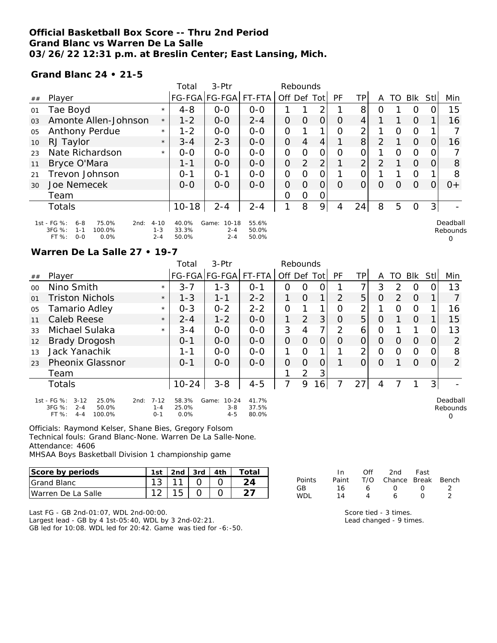### **Official Basketball Box Score -- Thru 2nd Period Grand Blanc vs Warren De La Salle 03/26/22 12:31 p.m. at Breslin Center; East Lansing, Mich.**

**Grand Blanc 24 • 21-5**

|                |                                                                                                    |                                | Total                   | $3-Ptr$                                  |                         | Rebounds    |          |                |          |                 |   |          |          |                |                      |
|----------------|----------------------------------------------------------------------------------------------------|--------------------------------|-------------------------|------------------------------------------|-------------------------|-------------|----------|----------------|----------|-----------------|---|----------|----------|----------------|----------------------|
| ##             | Player                                                                                             |                                |                         | FG-FGA FG-FGA                            | FT-FTA                  | Off Def Tot |          |                | PF       | TP <sub>1</sub> | A | TO       | Blk      | Stl            | Min                  |
| 01             | Tae Boyd                                                                                           | $\star$                        | $4 - 8$                 | $0 - 0$                                  | $0 - 0$                 |             |          | ∍              |          | 8               | Ο |          | $\Omega$ |                | 15                   |
| 0 <sub>3</sub> | Amonte Allen-Johnson                                                                               | $\star$                        | $1 - 2$                 | $0 - 0$                                  | $2 - 4$                 | O           | $\Omega$ | 0              | $\Omega$ | $\overline{4}$  |   |          | $\Omega$ |                | 16                   |
| 05             | Anthony Perdue                                                                                     | $\star$                        | $1 - 2$                 | $0 - 0$                                  | $0 - 0$                 | O           |          | 1              | Ω        | $\overline{2}$  |   | $\Omega$ | $\Omega$ |                |                      |
| 10             | RJ Taylor                                                                                          | $\star$                        | $3 - 4$                 | $2 - 3$                                  | $0 - 0$                 | 0           | 4        | 4              |          | 8               | 2 |          | $\Omega$ |                | 16                   |
| 23             | Nate Richardson                                                                                    | $\star$                        | $0 - 0$                 | $0 - 0$                                  | $O - O$                 | O           | $\Omega$ | O              | Ω        | 0               |   | $\Omega$ | $\Omega$ |                |                      |
| 11             | Bryce O'Mara                                                                                       |                                | 1-1                     | $0 - 0$                                  | $0 - 0$                 | 0           | 2        | 2 <sub>1</sub> |          | $\overline{2}$  | 2 |          | $\Omega$ |                | 8                    |
| 21             | Trevon Johnson                                                                                     |                                | $0 - 1$                 | $O - 1$                                  | $0 - 0$                 | 0           | Ω        | 0              |          | 0               |   |          | $\circ$  |                | 8                    |
| 30             | Joe Nemecek                                                                                        |                                | $0 - 0$                 | $0 - 0$                                  | $0 - 0$                 | O           | $\Omega$ | O              | Ω        | 0               | 0 | $\Omega$ | $\Omega$ | $\Omega$       | $0+$                 |
|                | Team                                                                                               |                                |                         |                                          |                         | 0           | 0        | 0              |          |                 |   |          |          |                |                      |
|                | <b>Totals</b>                                                                                      |                                | $10 - 18$               | $2 - 4$                                  | $2 - 4$                 | 1           | 8        | 9              | 4        | 24              | 8 | 5        | $\Omega$ | 3 <sup>1</sup> |                      |
|                | 1st - FG %:<br>75.0%<br>$6 - 8$<br>2nd:<br>3FG %:<br>100.0%<br>$1 - 1$<br>FT %:<br>0.0%<br>$O - O$ | $4 - 10$<br>$1 - 3$<br>$2 - 4$ | 40.0%<br>33.3%<br>50.0% | Game:<br>$10 - 18$<br>$2 - 4$<br>$2 - 4$ | 55.6%<br>50.0%<br>50.0% |             |          |                |          |                 |   |          |          |                | Deadball<br>Rebounds |

#### **Warren De La Salle 27 • 19-7**

|         |                                                                                                |                                        | Total                  | 3-Ptr                                    |                         | Rebounds       |                |                |          |          |          |                  |          |                |                           |
|---------|------------------------------------------------------------------------------------------------|----------------------------------------|------------------------|------------------------------------------|-------------------------|----------------|----------------|----------------|----------|----------|----------|------------------|----------|----------------|---------------------------|
| ##      | Player                                                                                         |                                        |                        | FG-FGA FG-FGA                            | FT-FTA                  | Off Def Tot    |                |                | PF       | TPI      | A        | TO               | Blk      | StII           | Min                       |
| $00 \,$ | Nino Smith                                                                                     | $\star$                                | $3 - 7$                | $1 - 3$                                  | $0 - 1$                 | O              | 0              | O              |          | 7        | 3        | 2                | O        | 0              | 13                        |
| 01      | <b>Triston Nichols</b>                                                                         | $\star$                                | $1 - 3$                | 1-1                                      | $2 - 2$                 |                | $\Omega$       | 1              | 2        | 5        | $\circ$  | 2                | $\Omega$ |                |                           |
| 05      | <b>Tamario Adley</b>                                                                           | $\star$                                | $0 - 3$                | $0 - 2$                                  | $2 - 2$                 | $\overline{O}$ |                |                | O        | 2        |          | $\Omega$         | O        |                | 16                        |
| 11      | Caleb Reese                                                                                    | $\star$                                | $2 - 4$                | $1 - 2$                                  | $0 - 0$                 | 1              | $\overline{2}$ | 3              | $\Omega$ | 5        | $\circ$  |                  | $\Omega$ |                | 15                        |
| 33      | Michael Sulaka                                                                                 | $\star$                                | $3 - 4$                | $0 - 0$                                  | $0 - 0$                 | 3              | 4              | 7              | 2        | 6        | O        |                  |          | 0              | 13                        |
| 12      | <b>Brady Drogosh</b>                                                                           |                                        | $O - 1$                | $0 - 0$                                  | $0 - 0$                 | $\Omega$       | $\overline{O}$ | $\overline{O}$ | $\Omega$ | $\Omega$ | $\Omega$ | $\left( \right)$ | $\Omega$ | 0              | $\overline{2}$            |
| 13      | Jack Yanachik                                                                                  |                                        | 1-1                    | $0 - 0$                                  | $0 - 0$                 |                | $\Omega$       |                |          | 2        | 0        | $\Omega$         | $\circ$  | 0              | 8                         |
| 23      | <b>Pheonix Glassnor</b>                                                                        |                                        | $O - 1$                | $0 - 0$                                  | $0 - 0$                 | $\Omega$       | $\Omega$       | $\overline{O}$ |          | $\Omega$ | $\circ$  |                  | $\Omega$ | 0              | $\overline{2}$            |
|         | Team                                                                                           |                                        |                        |                                          |                         |                | $\overline{2}$ | 3              |          |          |          |                  |          |                |                           |
|         | <b>Totals</b>                                                                                  |                                        | $10 - 24$              | $3 - 8$                                  | $4 - 5$                 | 7              | 9              | 6              |          | 27       | 4        |                  |          | 3 <sup>1</sup> |                           |
|         | 1st - FG %:<br>$3 - 12$<br>25.0%<br>$3FG \%$ :<br>$2 - 4$<br>50.0%<br>FT%<br>100.0%<br>$4 - 4$ | $7 - 12$<br>2nd:<br>$1 - 4$<br>$O - 1$ | 58.3%<br>25.0%<br>0.0% | $10 - 24$<br>Game:<br>$3 - 8$<br>$4 - 5$ | 41.7%<br>37.5%<br>80.0% |                |                |                |          |          |          |                  |          |                | Deadball<br>Rebounds<br>Ω |

Officials: Raymond Kelser, Shane Bies, Gregory Folsom Technical fouls: Grand Blanc-None. Warren De La Salle-None. Attendance: 4606

MHSAA Boys Basketball Division 1 championship game

| Score by periods    | 1st | 2nd $\sqrt{3}$ 3rd | 4th | ™otai |
|---------------------|-----|--------------------|-----|-------|
| <b>IGrand Blanc</b> |     |                    |     |       |
| IWarren De La Salle |     |                    |     |       |

Last FG - GB 2nd-01:07, WDL 2nd-00:00.

Largest lead - GB by 4 1st-05:40, WDL by 3 2nd-02:21. GB led for 10:08. WDL led for 20:42. Game was tied for -6:-50.

|        | In.   | ∩ff | 2nd -                  | Fast             |  |
|--------|-------|-----|------------------------|------------------|--|
| Points | Paint |     | T/O Chance Break Bench |                  |  |
| GВ     | 16    | Ь   | $\left( \right)$       | $\left( \right)$ |  |
| WDI    | 14    | Δ   | ь                      | $\sqrt{ }$       |  |

Score tied - 3 times. Lead changed - 9 times.